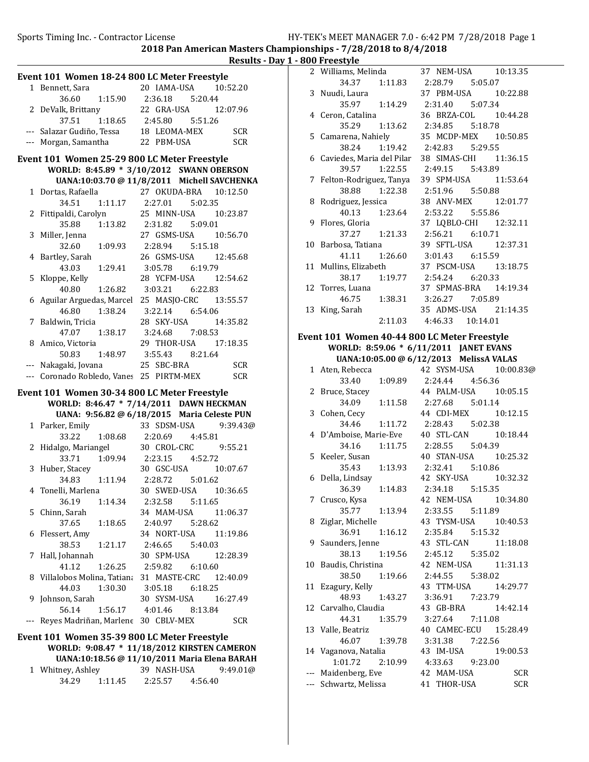Sports Timing Inc. - Contractor License HY-TEK's MEET MANAGER 7.0 - 6:42 PM 7/28/2018 Page 1

2018 Pan American Masters Championships - 7/28/2018 to 8/4/2018

Results - Day  $1 - 80$ 

|     |                                              | <u> Results - L</u>                                        |
|-----|----------------------------------------------|------------------------------------------------------------|
|     | Event 101 Women 18-24 800 LC Meter Freestyle |                                                            |
|     | 1 Bennett, Sara                              | 20 IAMA-USA<br>10:52.20                                    |
|     | 36.60                                        | 1:15.90  2:36.18  5:20.44                                  |
|     | 2 DeValk, Brittany                           | 22 GRA-USA<br>12:07.96                                     |
|     | 37.51                                        | 1:18.65 2:45.80 5:51.26                                    |
|     |                                              | --- Salazar Gudiño, Tessa 18 LEOMA-MEX SCR                 |
|     | --- Morgan, Samantha                         | 22 PBM-USA<br><b>SCR</b>                                   |
|     |                                              |                                                            |
|     | Event 101 Women 25-29 800 LC Meter Freestyle |                                                            |
|     |                                              | WORLD: 8:45.89 * 3/10/2012 SWANN OBERSON                   |
|     |                                              | UANA:10:03.70 @ 11/8/2011 Michell SAVCHENKA                |
|     |                                              | 1 Dortas, Rafaella 27 OKUDA-BRA 10:12.50                   |
|     | 34.51                                        | $1:11.17$ $2:27.01$ $5:02.35$                              |
|     | 2 Fittipaldi, Carolyn                        | 25 MINN-USA  10:23.87                                      |
|     | 35.88                                        | 1:13.82  2:31.82  5:09.01                                  |
|     | 3 Miller, Jenna                              | 27 GSMS-USA 10:56.70                                       |
|     | 32.60<br>1:09.93                             | 2:28.94 5:15.18                                            |
|     | 4 Bartley, Sarah                             | 26 GSMS-USA 12:45.68                                       |
|     | 43.03<br>1:29.41                             | 3:05.78 6:19.79                                            |
| 5   | Kloppe, Kelly                                | 28 YCFM-USA 12:54.62                                       |
|     | 1:26.82<br>40.80                             | 3:03.21 6:22.83                                            |
| 6   |                                              | Aguilar Arguedas, Marcel 25 MASJO-CRC 13:55.57             |
|     | 46.80<br>1:38.24                             | 3:22.14 6:54.06                                            |
|     | 7 Baldwin, Tricia                            | 28 SKY-USA<br>14:35.82                                     |
|     | 47.07                                        |                                                            |
|     | 8 Amico, Victoria                            | 29 THOR-USA 17:18.35                                       |
|     | 50.83                                        | 29 THOR-USA 17<br>1:48.97 3:55.43 8:21.64<br>1a 25 SBC-BRA |
|     | Nakagaki, Jovana                             | 25 SBC-BRA<br><b>SCR</b>                                   |
|     | --- Coronado Robledo, Vanes 25 PIRTM-MEX     | <b>SCR</b>                                                 |
|     |                                              |                                                            |
|     | Event 101 Women 30-34 800 LC Meter Freestyle |                                                            |
|     |                                              | WORLD: 8:46.47 * 7/14/2011 DAWN HECKMAN                    |
|     |                                              | UANA: 9:56.82 @ 6/18/2015 Maria Celeste PUN                |
|     | 1 Parker, Emily                              | 33 SDSM-USA<br>9:39.43@                                    |
|     | 33.22                                        | 1:08.68 2:20.69<br>4:45.81                                 |
|     | 2 Hidalgo, Mariangel                         | 30 CROL-CRC 9:55.21                                        |
|     | 33.71                                        | $1:09.94$ $2:23.15$ $4:52.72$                              |
|     | 3 Huber, Stacey                              | 30 GSC-USA<br>10:07.67                                     |
|     | 34.83                                        | $1:11.94$ $2:28.72$ $5:01.62$                              |
|     | 4 Tonelli, Marlena                           | 30 SWED-USA   10:36.65                                     |
|     | 36.19<br>1:14.34                             | 2:32.58 5:11.65                                            |
| 5   | Chinn, Sarah                                 | 34 MAM-USA<br>11:06.37                                     |
|     | 37.65<br>1:18.65                             | 2:40.97<br>5:28.62                                         |
| 6   | Flessert, Amy                                | 34 NORT-USA<br>11:19.86                                    |
|     | 38.53<br>1:21.17                             | 2:46.65<br>5:40.03                                         |
| 7   | Hall, Johannah                               | 30 SPM-USA<br>12:28.39                                     |
|     | 41.12<br>1:26.25                             | 2:59.82<br>6:10.60                                         |
|     | 8 Villalobos Molina, Tatiana                 | 31 MASTE-CRC<br>12:40.09                                   |
|     | 44.03<br>1:30.30                             | 3:05.18<br>6:18.25                                         |
| 9   | Johnson, Sarah                               | 30 SYSM-USA<br>16:27.49                                    |
|     | 56.14<br>1:56.17                             | 4:01.46<br>8:13.84                                         |
| --- | Reyes Madriñan, Marlene 30 CBLV-MEX          | <b>SCR</b>                                                 |
|     |                                              |                                                            |
|     | Event 101 Women 35-39 800 LC Meter Freestyle |                                                            |
|     |                                              | WORLD: 9:08.47 * 11/18/2012 KIRSTEN CAMERON                |
|     |                                              | UANA:10:18.56 @ 11/10/2011 Maria Elena BARAH               |
| 1   | Whitney, Ashley                              | 39 NASH-USA<br>9:49.01@                                    |
|     | 34.29                                        | 1:11.45  2:25.57  4:56.40                                  |

|    | .                                                                     |                           |           |
|----|-----------------------------------------------------------------------|---------------------------|-----------|
|    | <b>800 Freestyle</b><br>2 Williams, Melinda<br>37 NEM-USA<br>10:13.35 |                           |           |
|    | 34.37<br>1:11.83 2:28.79                                              | 5:05.07                   |           |
|    | 3 Nuudi, Laura                                                        | 37 PBM-USA                | 10:22.88  |
|    | 35.97<br>1:14.29                                                      | 2:31.40 5:07.34           |           |
|    | 4 Ceron, Catalina                                                     | 36 BRZA-COL 10:44.28      |           |
|    | 35.29<br>1:13.62                                                      | 2:34.85 5:18.78           |           |
|    | 5 Camarena, Nahiely                                                   | 35 MCDP-MEX 10:50.85      |           |
|    | 1:19.42<br>38.24                                                      | 2:42.83 5:29.55           |           |
|    | 6 Caviedes, Maria del Pilar                                           | 38 SIMAS-CHI 11:36.15     |           |
|    | 39.57<br>1:22.55                                                      | 2:49.15 5:43.89           |           |
|    | 7 Felton-Rodriguez, Tanya                                             | 39 SPM-USA 11:53.64       |           |
|    | 1:22.38<br>38.88                                                      | 2:51.96 5:50.88           |           |
| 8  | Rodriguez, Jessica                                                    | 38 ANV-MEX 12:01.77       |           |
|    | 40.13 1:23.64                                                         | 2:53.22   5:55.86         |           |
| 9  | Flores, Gloria                                                        | 37 LQBLO-CHI 12:32.11     |           |
|    | 1:21.33<br>37.27                                                      | 2:56.21 6:10.71           |           |
|    | 10 Barbosa, Tatiana                                                   | 39 SFTL-USA               | 12:37.31  |
|    | 41.11<br>1:26.60                                                      | 3:01.43<br>6:15.59        |           |
|    | 11 Mullins, Elizabeth                                                 | 37 PSCM-USA               | 13:18.75  |
|    | 38.17<br>1:19.77                                                      | 2:54.24 6:20.33           |           |
|    | 12 Torres, Luana                                                      | 37 SPMAS-BRA 14:19.34     |           |
|    | 46.75<br>1:38.31                                                      | 3:26.27 7:05.89           |           |
| 13 | King, Sarah                                                           | 35 ADMS-USA 21:14.35      |           |
|    | 2:11.03                                                               | 4:46.33 10:14.01          |           |
|    | Event 101 Women 40-44 800 LC Meter Freestyle                          |                           |           |
|    | WORLD: 8:59.06 * 6/11/2011 JANET EVANS                                |                           |           |
|    | UANA:10:05.00 @ 6/12/2013 MelissA VALAS                               |                           |           |
|    | 1 Aten, Rebecca                                                       | 42 SYSM-USA               | 10:00.83@ |
|    | 33.40<br>1:09.89                                                      | 2:24.44<br>4:56.36        |           |
|    | 2 Bruce, Stacey                                                       | 44 PALM-USA 10:05.15      |           |
|    | 1:11.58<br>34.09                                                      | 2:27.68 5:01.14           |           |
|    | 3 Cohen, Cecy                                                         | 44 CDI-MEX                | 10:12.15  |
|    | 34.46                                                                 | 1:11.72  2:28.43  5:02.38 |           |
|    | 4 D'Amboise, Marie-Eve                                                | 40 STL-CAN 10:18.44       |           |
|    | 34.16                                                                 | 1:11.75  2:28.55  5:04.39 |           |
|    | 5 Keeler, Susan                                                       | 40 STAN-USA 10:25.32      |           |
|    | 1:13.93<br>35.43                                                      | 2:32.41 5:10.86           |           |
|    | 6 Della, Lindsay                                                      | 42 SKY-USA 10:32.32       |           |
|    | 36.39<br>1:14.83                                                      | 2:34.18<br>5:15.35        |           |
| 7  | Crusco, Kysa                                                          | NEM-USA<br>42             | 10:34.80  |
|    | 35.77<br>1:13.94                                                      | 2:33.55<br>5:11.89        |           |
| 8  | Ziglar, Michelle                                                      | 43 TYSM-USA               | 10:40.53  |
|    | 36.91<br>1:16.12                                                      | 2:35.84<br>5:15.32        |           |
| 9  | Saunders, Jenne                                                       | 43 STL-CAN                | 11:18.08  |
|    | 38.13<br>1:19.56                                                      | 2:45.12<br>5:35.02        |           |
| 10 | Baudis, Christina                                                     | 42 NEM-USA                | 11:31.13  |

38.50 1:19.66 2:44.55 5:38.02 11 Ezagury, Kelly 43 TTM-USA 14:29.77 48.93 1:43.27 3:36.91 7:23.79 12 14:42.14 Carvalho, Claudia 43 GB-BRA 44.31 1:35.79 3:27.64 7:11.08 13 Valle, Beatriz 40 CAMEC-ECU 15:28.49 46.07 1:39.78 3:31.38 7:22.56 14 Vaganova, Natalia 43 IM-USA 19:00.53 1:01.72 2:10.99 4:33.63 9:23.00

--- Maidenberg, Eve 42 MAM-USA SCR --- Schwartz, Melissa 41 THOR-USA SCR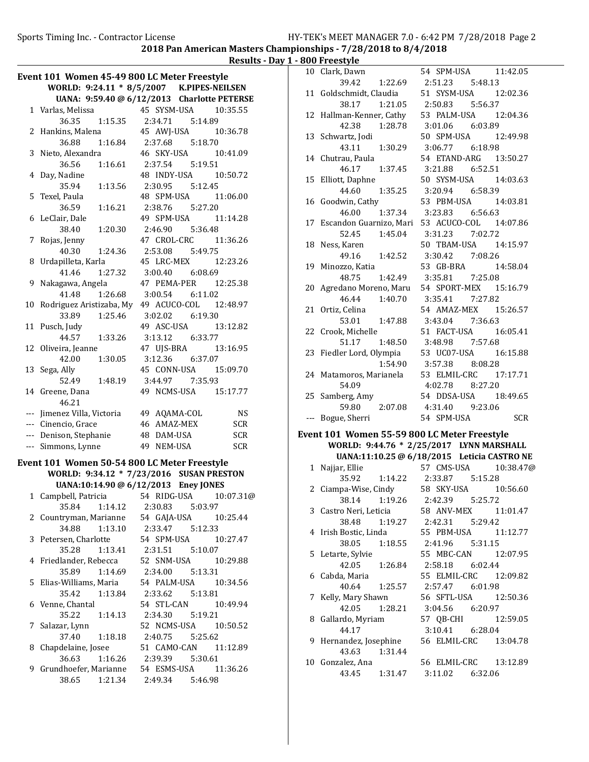Results - Day 1 - 800 Freestyle

|    | Event 101 Women 45-49 800 LC Meter Freestyle |                                             |
|----|----------------------------------------------|---------------------------------------------|
|    |                                              | WORLD: 9:24.11 * 8/5/2007 K.PIPES-NEILSEN   |
|    |                                              | UANA: 9:59.40 @ 6/12/2013 Charlotte PETERSE |
|    | 1 Varlas, Melissa                            | 45 SYSM-USA<br>10:35.55                     |
|    | 36.35<br>1:15.35                             | 2:34.71<br>5:14.89                          |
|    | 2 Hankins, Malena                            | 45 AWJ-USA 10:36.78                         |
|    | 1:16.84<br>36.88                             | 2:37.68<br>5:18.70                          |
| 3  | Nieto, Alexandra                             | 46 SKY-USA<br>10:41.09                      |
|    | 36.56<br>1:16.61                             | 2:37.54 5:19.51                             |
| 4  | Day, Nadine                                  | 48 INDY-USA<br>10:50.72                     |
|    | 35.94<br>1:13.56                             | 2:30.95   5:12.45                           |
| 5. | Texel, Paula                                 | 48 SPM-USA<br>11:06.00                      |
|    | 36.59<br>1:16.21                             | 2:38.76 5:27.20                             |
| 6  | LeClair, Dale                                | 49 SPM-USA<br>11:14.28                      |
|    | 38.40<br>1:20.30                             | 2:46.90 5:36.48                             |
| 7  | Rojas, Jenny<br>40.30 1:24.36                | 47 CROL-CRC 11:36.26                        |
|    |                                              | 2:53.08 5:49.75<br>45 LRC-MEX               |
| 8  | Urdapilleta, Karla<br>41.46<br>1:27.32       | 12:23.26<br>3:00.40<br>6:08.69              |
| 9  | Nakagawa, Angela                             | 47 PEMA-PER 12:25.38                        |
|    | 41.48<br>1:26.68                             | 3:00.54<br>6:11.02                          |
| 10 | Rodriguez Aristizaba, My                     | 49 ACUCO-COL 12:48.97                       |
|    | 33.89<br>1:25.46                             | 3:02.02 6:19.30                             |
| 11 | Pusch, Judy                                  | 49 ASC-USA<br>13:12.82                      |
|    | 44.57<br>1:33.26                             | 3:13.12 6:33.77                             |
|    | 12 Oliveira, Jeanne                          | 47 UJS-BRA<br>13:16.95                      |
|    | 42.00<br>1:30.05                             | 3:12.36<br>6:37.07                          |
| 13 | Sega, Ally                                   | 45 CONN-USA 15:09.70                        |
|    | 52.49<br>1:48.19                             | 3:44.97 7:35.93                             |
|    | 14 Greene, Dana                              | 49 NCMS-USA 15:17.77                        |
|    | 46.21                                        |                                             |
|    | --- Jimenez Villa, Victoria                  | 49 AQAMA-COL<br><b>NS</b>                   |
|    | --- Cinencio, Grace                          | 46 AMAZ-MEX<br><b>SCR</b>                   |
|    | --- Denison, Stephanie                       | 48 DAM-USA<br><b>SCR</b>                    |
|    | --- Simmons, Lynne                           | 49 NEM-USA<br><b>SCR</b>                    |
|    | Event 101 Women 50-54 800 LC Meter Freestyle |                                             |
|    |                                              | WORLD: 9:34.12 * 7/23/2016 SUSAN PRESTON    |
|    |                                              | UANA:10:14.90 @ 6/12/2013 Eney JONES        |
| 1  | Campbell, Patricia 54 RIDG-USA               | 10:07.31@                                   |
|    | 35.84<br>1:14.12                             | 2:30.83<br>5:03.97                          |
|    | 2 Countryman, Marianne                       | 54 GAJA-USA<br>10:25.44                     |
|    | 34.88<br>1:13.10                             | 5:12.33<br>2:33.47                          |
| 3  | Petersen, Charlotte                          | 54 SPM-USA<br>10:27.47                      |
|    | 35.28<br>1:13.41                             | 2:31.51<br>5:10.07                          |
| 4  | Friedlander, Rebecca                         | 52 SNM-USA<br>10:29.88                      |
|    | 35.89<br>1:14.69                             | 2:34.00<br>5:13.31                          |
| 5  | Elias-Williams, Maria                        | 54 PALM-USA<br>10:34.56                     |
|    | 1:13.84<br>35.42                             | 2:33.62<br>5:13.81                          |
| 6  | Venne, Chantal                               | 54 STL-CAN<br>10:49.94                      |
|    | 35.22<br>1:14.13                             | 5:19.21<br>2:34.30                          |
| 7  | Salazar, Lynn                                | 52 NCMS-USA<br>10:50.52                     |
|    | 37.40<br>1:18.18                             | 2:40.75<br>5:25.62                          |
| 8  | Chapdelaine, Josee                           | 51 CAMO-CAN<br>11:12.89                     |
|    | 36.63<br>1:16.26                             | 2:39.39<br>5:30.61                          |
| 9  | Grundhoefer, Marianne                        | 54 ESMS-USA<br>11:36.26                     |
|    | 38.65<br>1:21.34                             | 2:49.34<br>5:46.98                          |

|    | 10 Clark, Dawn                               | 54 SPM-USA<br>11:42.05                      |
|----|----------------------------------------------|---------------------------------------------|
|    | 39.42<br>1:22.69                             | 2:51.23   5:48.13                           |
|    | 11 Goldschmidt, Claudia                      | 51 SYSM-USA 12:02.36                        |
|    | 38.17<br>1:21.05                             | 2:50.83 5:56.37                             |
|    | 12 Hallman-Kenner, Cathy                     | 53 PALM-USA 12:04.36                        |
|    | 42.38<br>1:28.78                             | 3:01.06 6:03.89                             |
|    | 13 Schwartz, Jodi                            | 50 SPM-USA 12:49.98                         |
|    | 43.11 1:30.29                                | 3:06.77 6:18.98                             |
|    | 14 Chutrau, Paula                            | 54 ETAND-ARG 13:50.27                       |
|    | 46.17 1:37.45                                | 3:21.88 6:52.51                             |
|    | 15 Elliott, Daphne                           | 50 SYSM-USA 14:03.63                        |
|    | 1:35.25<br>44.60                             | 3:20.94 6:58.39                             |
|    | 16 Goodwin, Cathy                            | 53 PBM-USA 14:03.81                         |
|    | 1:37.34<br>46.00                             | 3:23.83 6:56.63                             |
|    | 17 Escandon Guarnizo, Mari                   | 53 ACUCO-COL 14:07.86                       |
|    | 52.45<br>1:45.04                             | 3:31.23 7:02.72                             |
|    | 18 Ness, Karen                               | 50 TBAM-USA  14:15.97                       |
|    | $49.16$ 1:42.52                              | 3:30.42 7:08.26                             |
|    | 19 Minozzo, Katia                            | 53 GB-BRA<br>14:58.04                       |
|    | 1:42.49 3:35.81<br>48.75                     | 7:25.08                                     |
| 20 | Agredano Moreno, Maru                        | 54 SPORT-MEX 15:16.79                       |
|    | 46.44<br>1:40.70                             | 3:35.41 7:27.82                             |
| 21 | Ortiz, Celina                                | 54 AMAZ-MEX 15:26.57                        |
|    | 53.01 1:47.88                                | 3:43.04 7:36.63                             |
|    | 22 Crook, Michelle                           | 51 FACT-USA<br>16:05.41                     |
|    | 51.17 1:48.50                                | 3:48.98 7:57.68                             |
| 23 | Fiedler Lord, Olympia                        | 53 UC07-USA 16:15.88                        |
|    | 1:54.90                                      | 3:57.38 8:08.28                             |
|    | 24 Matamoros, Marianela                      | 53 ELMIL-CRC 17:17.71                       |
|    | 54.09                                        | 4:02.78 8:27.20                             |
|    | 25 Samberg, Amy                              | 54 DDSA-USA 18:49.65                        |
|    |                                              | 59.80  2:07.08  4:31.40  9:23.06            |
|    | --- Bogue, Sherri                            | 54 SPM-USA<br><b>SCR</b>                    |
|    | Event 101 Women 55-59 800 LC Meter Freestyle |                                             |
|    |                                              | WORLD: 9:44.76 * 2/25/2017 LYNN MARSHALL    |
|    |                                              | UANA:11:10.25 @ 6/18/2015 Leticia CASTRO NE |
|    | 1 Najjar, Ellie                              | 57 CMS-USA 10:38.47@                        |
|    | 35.92                                        | 1:14.22  2:33.87  5:15.28                   |
|    | 2. Ciamna-Wise Cindy                         | 58 SKY-USA 10.56.60                         |

| 35.92 1:14.22          |               | 2:33.87 5:15.28   |                       |
|------------------------|---------------|-------------------|-----------------------|
| 2 Ciampa-Wise, Cindy   |               | 58 SKY-USA        | 10:56.60              |
| 38.14 1:19.26          |               | 2:42.39 5:25.72   |                       |
| 3 Castro Neri, Leticia |               |                   | 58 ANV-MEX 11:01.47   |
| 38.48 1:19.27          |               | 2:42.31 5:29.42   |                       |
| 4 Irish Bostic, Linda  |               |                   | 55 PBM-USA 11:12.77   |
|                        | 38.05 1:18.55 | 2:41.96 5:31.15   |                       |
| 5 Letarte, Sylvie      |               |                   | 55 MBC-CAN 12:07.95   |
|                        | 42.05 1:26.84 | 2:58.18 6:02.44   |                       |
| 6   Cabda, Maria       |               |                   | 55 ELMIL-CRC 12:09.82 |
|                        | 40.64 1:25.57 | 2:57.47 6:01.98   |                       |
| 7 Kelly, Mary Shawn    |               |                   | 56 SFTL-USA 12:50.36  |
|                        | 42.05 1:28.21 | 3:04.56 6:20.97   |                       |
| 8 Gallardo, Myriam     |               |                   | 57 QB-CHI 12:59.05    |
| 44.17                  |               | $3:10.41$ 6:28.04 |                       |
| 9 Hernandez, Josephine |               |                   | 56 ELMIL-CRC 13:04.78 |
| 43.63 1:31.44          |               |                   |                       |
| 10 Gonzalez, Ana       |               |                   | 56 ELMIL-CRC 13:12.89 |
|                        | 43.45 1:31.47 | 3:11.02 6:32.06   |                       |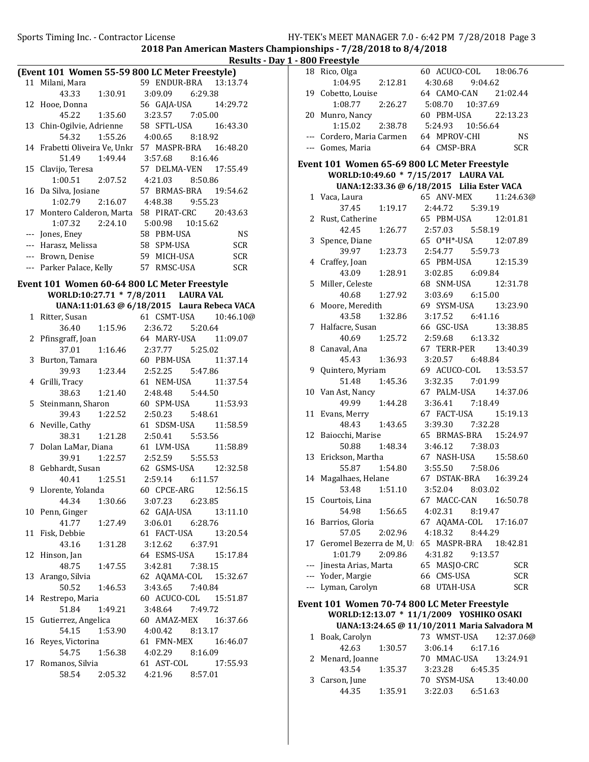|                                              | 2018 Pan American Masters Championships - 7728 |                  |
|----------------------------------------------|------------------------------------------------|------------------|
|                                              | Results - Day 1 - 800 Freestyle                |                  |
|                                              | (Event 101 Women 55-59 800 LC Meter Freestyle) | 18 Rico, Olga    |
| 11 Milani, Mara                              | 59 ENDUR-BRA<br>13:13.74                       | 1:04.95          |
| 43.33<br>1:30.91 3:09.09                     | 6:29.38                                        | 19 Cobetto, Lo   |
| 12 Hooe, Donna                               | 56 GAJA-USA<br>14:29.72                        | 1:08.77          |
| 1:35.60<br>45.22                             | 3:23.57<br>7:05.00                             | 20 Munro, Nai    |
| 13 Chin-Ogilvie, Adrienne                    | 58 SFTL-USA<br>16:43.30                        | 1:15.02          |
| 54.32<br>1:55.26                             | 4:00.65<br>8:18.92                             | --- Cordero, M   |
| 14 Frabetti Oliveira Ve, Unkr 57 MASPR-BRA   | 16:48.20                                       | --- Gomes, Ma    |
| 51.49<br>1:49.44                             | 3:57.68<br>8:16.46                             |                  |
| 15 Clavijo, Teresa                           | 17:55.49<br>57 DELMA-VEN                       | Event 101 Wol    |
| 1:00.51<br>2:07.52                           | 4:21.03<br>8:50.86                             | <b>WORLD:</b>    |
| 16 Da Silva, Josiane                         | 57 BRMAS-BRA<br>19:54.62                       | <b>UANA:</b>     |
| 1:02.79<br>2:16.07                           | 4:48.38<br>9:55.23                             | 1 Vaca, Laura    |
| 17 Montero Calderon, Marta 58 PIRAT-CRC      | 20:43.63                                       | 37.45            |
| 1:07.32<br>2:24.10                           | 5:00.98<br>10:15.62                            | 2 Rust, Cathe    |
| --- Jones, Eney                              | 58 PBM-USA<br>NS                               | 42.45            |
| --- Harasz, Melissa                          | 58 SPM-USA<br><b>SCR</b>                       | 3 Spence, Dia    |
| --- Brown, Denise                            | 59 MICH-USA<br>SCR                             | 39.97            |
|                                              |                                                | 4 Craffey, Joa   |
| --- Parker Palace, Kelly 57 RMSC-USA         | <b>SCR</b>                                     | 43.09            |
| Event 101 Women 60-64 800 LC Meter Freestyle |                                                | 5 Miller, Cele   |
| WORLD:10:27.71 * 7/8/2011 LAURA VAL          |                                                | 40.68            |
|                                              | UANA:11:01.63 @ 6/18/2015 Laura Rebeca VACA    | 6 Moore, Me      |
| 1 Ritter, Susan                              | 61 CSMT-USA<br>10:46.10@                       | 43.58            |
| 36.40                                        | 1:15.96 2:36.72<br>5:20.64                     | 7 Halfacre, St   |
| 2 Pfinsgraff, Joan                           | 64 MARY-USA<br>11:09.07                        | 40.69            |
| 37.01<br>1:16.46 2:37.77                     | 5:25.02                                        | 8 Canaval, Ar    |
| 3 Burton, Tamara                             | 60 PBM-USA<br>11:37.14                         | 45.43            |
| 1:23.44 2:52.25<br>39.93                     | 5:47.86                                        | 9 Quintero, M    |
| 4 Grilli, Tracy                              | 61 NEM-USA<br>11:37.54                         | 51.48            |
|                                              |                                                |                  |
| 38.63<br>1:21.40                             | 2:48.48<br>5:44.50                             | 10 Van Ast, Na   |
| 5 Steinmann, Sharon                          | 60 SPM-USA<br>11:53.93                         | 49.99            |
| 39.43<br>1:22.52 2:50.23                     | 5:48.61                                        | 11 Evans, Mer    |
| 6 Neville, Cathy                             | 61 SDSM-USA<br>11:58.59                        | 48.43            |
| 38.31<br>1:21.28                             | 2:50.41<br>5:53.56                             | 12 Baiocchi, M   |
| 7 Dolan LaMar, Diana                         | 61 LVM-USA<br>11:58.89                         | 50.88            |
| 39.91<br>1:22.57                             | 2:52.59<br>5:55.53                             | 13 Erickson, M   |
| 8 Gebhardt, Susan                            | 62 GSMS-USA<br>12:32.58                        | 55.87            |
| 40.41  1:25.51  2:59.14  6:11.57             |                                                | 14 Magalhaes,    |
| 9 Llorente, Yolanda                          | 60 CPCE-ARG<br>12:56.15                        | 53.48            |
| 44.34<br>1:30.66                             | 3:07.23<br>6:23.85                             | 15 Courtois, L   |
| 10 Penn, Ginger                              | 62 GAJA-USA<br>13:11.10                        | 54.98            |
| 41.77<br>1:27.49                             | 3:06.01<br>6:28.76                             | 16 Barrios, Glo  |
| 11 Fisk, Debbie                              | 61 FACT-USA<br>13:20.54                        | 57.05            |
| 43.16<br>1:31.28                             | 3:12.62<br>6:37.91                             | 17 Geromel Bo    |
| 12 Hinson, Jan                               | 64 ESMS-USA<br>15:17.84                        | 1:01.79          |
| 48.75<br>1:47.55                             | 7:38.15<br>3:42.81                             | --- Jinesta Aria |
| 13 Arango, Silvia                            | 62 AQAMA-COL<br>15:32.67                       | --- Yoder, Mar   |
| 50.52<br>1:46.53                             | 3:43.65<br>7:40.84                             | --- Lyman, Car   |
| 14 Restrepo, Maria                           | 60 ACUCO-COL<br>15:51.87                       |                  |
| 51.84<br>1:49.21                             | 7:49.72                                        | Event 101 Wol    |
|                                              | 3:48.64                                        | <b>WORLD:</b>    |
| 15 Gutierrez, Angelica                       | 60 AMAZ-MEX<br>16:37.66                        | <b>UANA:</b>     |
| 54.15<br>1:53.90                             | 4:00.42<br>8:13.17                             | 1 Boak, Caro     |
| 16 Reyes, Victorina                          | 61 FMN-MEX<br>16:46.07                         | 42.63            |
| 54.75<br>1:56.38                             | 4:02.29<br>8:16.09                             | 2 Menard, Jo     |
| 17 Romanos, Silvia                           | 61 AST-COL<br>17:55.93                         | 43.54            |
| 58.54<br>2:05.32                             | 4:21.96<br>8:57.01                             |                  |

|     | <u>ouu rieestyle</u>                                                                 |                                              |
|-----|--------------------------------------------------------------------------------------|----------------------------------------------|
|     | 18 Rico, Olga                                                                        | 60 ACUCO-COL 18:06.76                        |
|     | $1:04.95$ $2:12.81$                                                                  | 4:30.68 9:04.62                              |
|     | 19 Cobetto, Louise                                                                   | 64 CAMO-CAN<br>21:02.44                      |
|     | 2:26.27<br>1:08.77                                                                   | 5:08.70  10:37.69                            |
|     | 20 Munro, Nancy                                                                      | 60 PBM-USA<br>22:13.23                       |
|     | 2:38.78<br>1:15.02                                                                   | 5:24.93 10:56.64                             |
|     | --- Cordero, Maria Carmen                                                            | <b>NS</b><br>64 MPROV-CHI                    |
|     | --- Gomes, Maria                                                                     | 64 CMSP-BRA<br><b>SCR</b>                    |
|     |                                                                                      |                                              |
|     | Event 101 Women 65-69 800 LC Meter Freestyle<br>WORLD:10:49.60 * 7/15/2017 LAURA VAL |                                              |
|     |                                                                                      | UANA:12:33.36 @ 6/18/2015 Lilia Ester VACA   |
|     |                                                                                      | 65 ANV-MEX                                   |
|     | 1 Vaca, Laura<br>37.45<br>1:19.17                                                    | 11:24.63@                                    |
| 2   | Rust, Catherine                                                                      | 5:39.19<br>2:44.72<br>65 PBM-USA<br>12:01.81 |
|     | 42.45                                                                                | 2:57.03<br>5:58.19                           |
| 3   | 1:26.77<br>Spence, Diane                                                             | 65 0*H*-USA<br>12:07.89                      |
|     | 39.97<br>1:23.73                                                                     | 2:54.77   5:59.73                            |
| 4   | Craffey, Joan                                                                        | 65 PBM-USA<br>12:15.39                       |
|     | 43.09<br>1:28.91                                                                     | 3:02.85 6:09.84                              |
|     | 5 Miller, Celeste                                                                    | 68 SNM-USA 12:31.78                          |
|     | 1:27.92<br>40.68                                                                     | 3:03.69 6:15.00                              |
|     | 6 Moore, Meredith                                                                    | 69 SYSM-USA<br>13:23.90                      |
|     | 1:32.86<br>43.58                                                                     | 3:17.52 6:41.16                              |
| 7   | Halfacre, Susan                                                                      | 66 GSC-USA<br>13:38.85                       |
|     | 40.69<br>1:25.72                                                                     | 2:59.68 6:13.32                              |
| 8   | Canaval, Ana                                                                         | 67 TERR-PER 13:40.39                         |
|     | 45.43 1:36.93                                                                        | 3:20.57 6:48.84                              |
| 9   | Quintero, Myriam                                                                     | 69 ACUCO-COL 13:53.57                        |
|     | 1:45.36<br>51.48                                                                     | 3:32.35<br>7:01.99                           |
|     | 10 Van Ast, Nancy                                                                    | 67 PALM-USA<br>14:37.06                      |
|     | 49.99<br>1:44.28                                                                     | 3:36.41<br>7:18.49                           |
| 11  | Evans, Merry                                                                         | 15:19.13<br>67 FACT-USA                      |
|     | 48.43<br>1:43.65                                                                     | 3:39.30<br>7:32.28                           |
|     | 12 Baiocchi, Marise                                                                  | 65 BRMAS-BRA 15:24.97                        |
|     | 50.88<br>1:48.34                                                                     | 3:46.12<br>7:38.03                           |
|     | 13 Erickson, Martha                                                                  | 67 NASH-USA<br>15:58.60                      |
|     | 1:54.80<br>55.87                                                                     | 3:55.50<br>7:58.06                           |
|     | 14 Magalhaes, Helane                                                                 | 67 DSTAK-BRA<br>16:39.24                     |
|     | 53.48<br>1:51.10                                                                     | 3:52.04 8:03.02                              |
|     | 15 Courtois, Lina                                                                    | 67 MACC-CAN<br>16:50.78                      |
|     | 54.98<br>1:56.65                                                                     | 4:02.31<br>8:19.47                           |
| 16  | Barrios, Gloria                                                                      | 67 AQAMA-COL<br>17:16.07                     |
|     | 57.05<br>2:02.96                                                                     | 8:44.29<br>4:18.32                           |
|     | 17 Geromel Bezerra de M, U                                                           | 65 MASPR-BRA<br>18:42.81                     |
|     | 1:01.79<br>2:09.86                                                                   | 4:31.82<br>9:13.57                           |
|     | --- Jinesta Arias, Marta                                                             | 65 MASJO-CRC<br>SCR                          |
|     | --- Yoder, Margie                                                                    | 66 CMS-USA<br><b>SCR</b>                     |
| --- | Lyman, Carolyn                                                                       | 68 UTAH-USA<br><b>SCR</b>                    |
|     | Event 101 Women 70-74 800 LC Meter Freestyle                                         |                                              |
|     |                                                                                      | WORLD:12:13.07 * 11/1/2009 YOSHIKO OSAKI     |
|     |                                                                                      | UANA:13:24.65 @ 11/10/2011 Maria Salvadora M |
| 1   | Boak, Carolyn                                                                        | 73 WMST-USA<br>12:37.06@                     |
|     |                                                                                      |                                              |

|                  | 42.63 1:30.57 | $3:06.14$ $6:17.16$  |  |
|------------------|---------------|----------------------|--|
| 2 Menard, Joanne |               | 70 MMAC-USA 13:24.91 |  |
|                  | 43.54 1:35.37 | 3:23.28 6:45.35      |  |
| 3 Carson, June   |               | 70 SYSM-USA 13:40.00 |  |
| 44.35            | 1:35.91       | $3:22.03$ $6:51.63$  |  |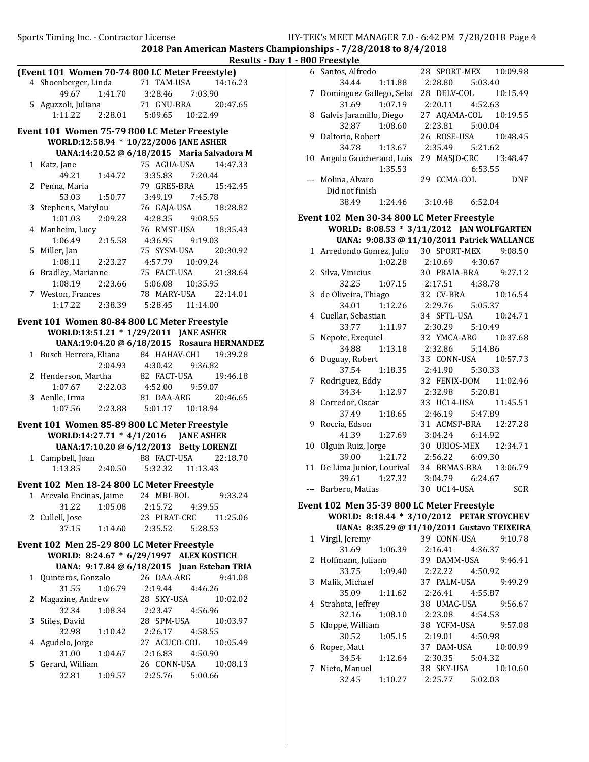Sports Timing Inc. - Contractor License **HY-TEK's MEET MANAGER 7.0 - 6:42 PM 7/28/2018** Page 4

2018 Pan American Masters Championships - 7/28/2018 to 8/4/2018

<u>.</u><br>Day 1 - 8

|   |                          |               | Results - D                                                                                                                      |
|---|--------------------------|---------------|----------------------------------------------------------------------------------------------------------------------------------|
|   |                          |               | (Event 101 Women 70-74 800 LC Meter Freestyle)                                                                                   |
|   | 4 Shoenberger, Linda     |               | 71 TAM-USA<br>14:16.23                                                                                                           |
|   |                          |               |                                                                                                                                  |
|   |                          |               | 49.67   1:41.70   3:28.46   7:03.90<br>5   Aguzzoli, Juliana   71   GNU-BRA   20:47.65<br>1:11.22   2:28.01   5:09.65   10:22.49 |
|   |                          |               |                                                                                                                                  |
|   |                          |               | Event 101 Women 75-79 800 LC Meter Freestyle                                                                                     |
|   |                          |               | WORLD:12:58.94 * 10/22/2006 JANE ASHER                                                                                           |
|   |                          |               | UANA:14:20.52 @ 6/18/2015 Maria Salvadora M                                                                                      |
|   | 1 Katz, Jane             |               | 75 AGUA-USA 14:47.33                                                                                                             |
|   |                          | 49.21 1:44.72 | 3:35.83 7:20.44                                                                                                                  |
|   | 2 Penna, Maria           |               | 79 GRES-BRA  15:42.45                                                                                                            |
|   |                          |               | 53.03 1:50.77 3:49.19 7:45.78                                                                                                    |
|   | 3 Stephens, Marylou      |               | 76 GAJA-USA 18:28.82                                                                                                             |
|   |                          |               |                                                                                                                                  |
|   | 4 Manheim, Lucy          |               | 76 RMST-USA 18:35.43                                                                                                             |
|   |                          |               | $1:06.49$ $2:15.58$ $4:36.95$ $9:19.03$                                                                                          |
|   | 5 Miller, Jan            |               | 75 SYSM-USA 20:30.92                                                                                                             |
|   |                          |               | $1:08.11 \qquad 2:23.27 \qquad 4:57.79 \qquad 10:09.24$                                                                          |
|   | 6 Bradley, Marianne      |               | 75 FACT-USA 21:38.64                                                                                                             |
|   | 1:08.19                  |               | $2:23.66$ $5:06.08$ $10:35.95$                                                                                                   |
|   | 7 Weston, Frances        |               | 78 MARY-USA 22:14.01                                                                                                             |
|   |                          |               | $1:17.22$ $2:38.39$ $5:28.45$ $11:14.00$                                                                                         |
|   |                          |               | Event 101 Women 80-84 800 LC Meter Freestyle                                                                                     |
|   |                          |               | WORLD:13:51.21 * 1/29/2011 JANE ASHER                                                                                            |
|   |                          |               | UANA:19:04.20 @ 6/18/2015 Rosaura HERNANDEZ                                                                                      |
|   |                          |               | 1 Busch Herrera, Eliana 84 HAHAV-CHI 19:39.28                                                                                    |
|   |                          |               | 2:04.93  4:30.42  9:36.82                                                                                                        |
|   |                          |               |                                                                                                                                  |
|   |                          |               | 2 Henderson, Martha 82 FACT-USA 19:46.18<br>1:07.67 2:22.03 4:52.00 9:59.07<br>3 Aenlle. Irma 81 DAA-ARG 20:46.65                |
|   | 3 Aenlle, Irma           |               | 81 DAA-ARG 20:46.65                                                                                                              |
|   |                          |               | 1:07.56 2:23.88 5:01.17 10:18.94                                                                                                 |
|   |                          |               | Event 101 Women 85-89 800 LC Meter Freestyle                                                                                     |
|   |                          |               | WORLD:14:27.71 * 4/1/2016 JANE ASHER                                                                                             |
|   |                          |               | UANA:17:10.20 @ 6/12/2013 Betty LORENZI                                                                                          |
|   | 1 Campbell, Joan         |               | 88 FACT-USA 22:18.70                                                                                                             |
|   |                          |               | 1:13.85  2:40.50  5:32.32  11:13.43                                                                                              |
|   |                          |               |                                                                                                                                  |
|   |                          |               | Event 102 Men 18-24 800 LC Meter Freestyle                                                                                       |
|   | 1 Arevalo Encinas, Jaime |               | 24 MBI-BOL<br>9:33.24                                                                                                            |
|   | 31.22                    | 1:05.08       | 2:15.72 4:39.55                                                                                                                  |
|   | 2 Cullell, Jose<br>37.15 |               | 23 PIRAT-CRC<br>11:25.06                                                                                                         |
|   |                          | 1:14.60       | 2:35.52<br>5:28.53                                                                                                               |
|   |                          |               | Event 102 Men 25-29 800 LC Meter Freestyle                                                                                       |
|   |                          |               | WORLD: 8:24.67 * 6/29/1997 ALEX KOSTICH                                                                                          |
|   |                          |               | UANA: 9:17.84 @ 6/18/2015 Juan Esteban TRIA                                                                                      |
|   | 1 Quinteros, Gonzalo     |               | 26 DAA-ARG<br>9:41.08                                                                                                            |
|   | 31.55                    | 1:06.79       | 2:19.44<br>4:46.26                                                                                                               |
| 2 | Magazine, Andrew         |               | 28 SKY-USA<br>10:02.02                                                                                                           |
|   | 32.34                    | 1:08.34       | 4:56.96<br>2:23.47                                                                                                               |
|   | 3 Stiles, David          |               | 28 SPM-USA<br>10:03.97                                                                                                           |
|   | 32.98                    | 1:10.42       | 2:26.17 4:58.55                                                                                                                  |
|   | 4 Agudelo, Jorge         |               | 27 ACUCO-COL 10:05.49                                                                                                            |
|   | 31.00                    | 1:04.67       | 4:50.90<br>2:16.83                                                                                                               |
| 5 | Gerard, William          |               | 26 CONN-USA<br>10:08.13                                                                                                          |
|   | 32.81                    | 1:09.57       | 2:25.76 5:00.66                                                                                                                  |

|    | <b>800 Freestyle</b>                       |                                             |  |
|----|--------------------------------------------|---------------------------------------------|--|
|    | 6 Santos, Alfredo                          | 28 SPORT-MEX 10:09.98                       |  |
|    | 34.44<br>1:11.88                           | 2:28.80<br>5:03.40                          |  |
|    | 7 Dominguez Gallego, Seba                  | 28 DELV-COL<br>10:15.49                     |  |
|    | 31.69<br>1:07.19                           | 2:20.11 4:52.63                             |  |
|    | 8 Galvis Jaramillo, Diego                  | 27 AQAMA-COL 10:19.55                       |  |
|    | 32.87 1:08.60                              | 2:23.81   5:00.04                           |  |
|    | 9 Daltorio, Robert                         | 26 ROSE-USA<br>10:48.45                     |  |
|    | 34.78<br>1:13.67                           | 2:35.49   5:21.62                           |  |
|    | 10 Angulo Gaucherand, Luis                 | 29 MASJO-CRC<br>13:48.47                    |  |
|    | 1:35.53                                    | 6:53.55                                     |  |
|    | --- Molina, Alvaro                         | 29 CCMA-COL<br><b>DNF</b>                   |  |
|    | Did not finish                             |                                             |  |
|    | 38.49<br>1:24.46                           | 3:10.48<br>6:52.04                          |  |
|    |                                            |                                             |  |
|    | Event 102 Men 30-34 800 LC Meter Freestyle |                                             |  |
|    |                                            | WORLD: 8:08.53 * 3/11/2012 JAN WOLFGARTEN   |  |
|    |                                            | UANA: 9:08.33 @ 11/10/2011 Patrick WALLANCE |  |
|    | 1 Arredondo Gomez, Julio 30 SPORT-MEX      | 9:08.50                                     |  |
|    | 1:02.28                                    | 2:10.69<br>4:30.67                          |  |
|    | 2 Silva, Vinicius                          | 30 PRAIA-BRA<br>9:27.12                     |  |
|    | 32.25                                      | 1:07.15 2:17.51<br>4:38.78                  |  |
|    | 3 de Oliveira, Thiago                      | 10:16.54<br>32 CV-BRA                       |  |
|    | 1:12.26<br>34.01                           | 2:29.76<br>5:05.37                          |  |
|    | 4 Cuellar, Sebastian                       | 34 SFTL-USA<br>10:24.71                     |  |
|    | 33.77<br>1:11.97                           | 2:30.29   5:10.49                           |  |
|    | 5 Nepote, Exequiel                         | 32 YMCA-ARG 10:37.68                        |  |
|    | 1:13.18<br>34.88                           | 2:32.86 5:14.86                             |  |
| 6  | Duguay, Robert                             | 33 CONN-USA<br>10:57.73                     |  |
|    | 37.54<br>1:18.35                           | 2:41.90<br>5:30.33                          |  |
| 7  | Rodriguez, Eddy                            | 32 FENIX-DOM 11:02.46                       |  |
|    | 34.34 1:12.97                              | 2:32.98 5:20.81                             |  |
|    | 8 Corredor, Oscar                          | 33 UC14-USA 11:45.51                        |  |
|    | 37.49 1:18.65                              | 2:46.19   5:47.89                           |  |
| 9  | Roccia, Edson                              | 31 ACMSP-BRA 12:27.28                       |  |
|    | 1:27.69<br>41.39                           | 3:04.24<br>6:14.92                          |  |
| 10 | Olguin Ruiz, Jorge                         | 30 URIOS-MEX<br>12:34.71                    |  |
|    | 39.00<br>1:21.72                           | 2:56.22<br>6:09.30                          |  |
|    | 11 De Lima Junior, Lourival                | 34 BRMAS-BRA<br>13:06.79                    |  |
|    | 39.61 1:27.32                              | 3:04.79 6:24.67                             |  |
|    | Barbero, Matias                            | 30 UC14-USA<br>SCR                          |  |
|    | Event 102 Men 35-39 800 LC Meter Freestyle |                                             |  |
|    |                                            | WORLD: 8:18.44 * 3/10/2012 PETAR STOYCHEV   |  |
|    |                                            | UANA: 8:35.29 @ 11/10/2011 Gustavo TEIXEIRA |  |
|    | 1 Virgil, Jeremy                           | 39 CONN-USA<br>9:10.78                      |  |
|    | 1:06.39<br>31.69                           | 2:16.41<br>4:36.37                          |  |
| 2  | Hoffmann, Juliano                          | 39 DAMM-USA<br>9:46.41                      |  |
|    | 33.75<br>1:09.40                           | 4:50.92<br>2:22.22                          |  |
|    | 3 Malik, Michael                           | 37 PALM-USA<br>9:49.29                      |  |
|    |                                            |                                             |  |

35.09 1:11.62 2:26.41 4:55.87 4 Strahota, Jeffrey 38 UMAC-USA 9:56.67

30.52 1:05.15 2:19.01 4:50.98 6 10:00.99 Roper, Matt 37 DAM-USA 34.54 1:12.64 2:30.35 5:04.32 7 10:10.60 Nieto, Manuel 38 SKY-USA 32.45 1:10.27 2:25.77 5:02.03

38 YCFM-USA 9:57.08

32.16 1:08.10 2:23.08 4:54.53<br>5 Kloppe, William 38 YCFM-USA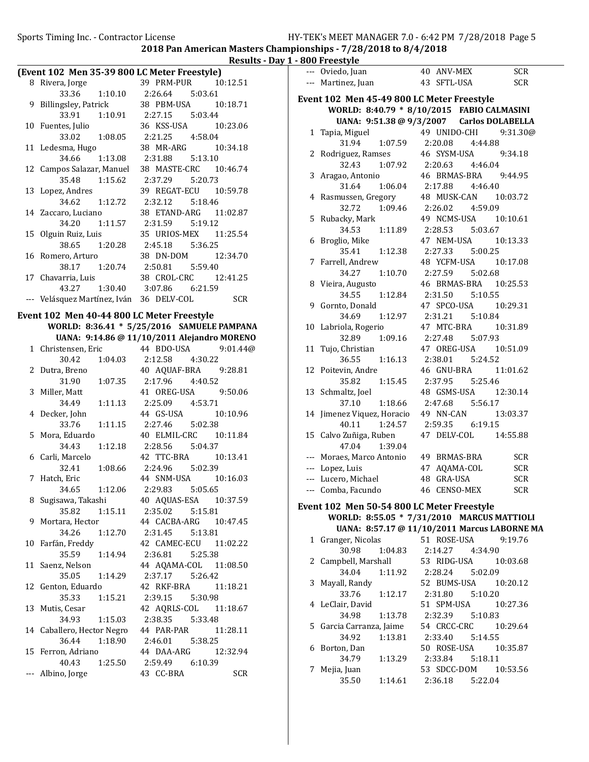2018 Pan American Masters Championships - 7/28/2018 to 8/4/2018 Results - Day 1 - 800 Freestyle

|   | (Event 102 Men 35-39 800 LC Meter Freestyle)    |                                  |  |                     |  |                       |
|---|-------------------------------------------------|----------------------------------|--|---------------------|--|-----------------------|
| 8 | Rivera, Jorge 39 PRM-PUR 10:12.51               |                                  |  |                     |  |                       |
|   |                                                 | 33.36 1:10.10 2:26.64 5:03.61    |  |                     |  |                       |
|   | 9 Billingsley, Patrick 38 PBM-USA 10:18.71      |                                  |  |                     |  |                       |
|   |                                                 | 33.91  1:10.91  2:27.15  5:03.44 |  |                     |  |                       |
|   | 10 Fuentes, Julio                               |                                  |  | 36 KSS-USA 10:23.06 |  |                       |
|   |                                                 | 33.02 1:08.05 2:21.25 4:58.04    |  |                     |  |                       |
|   | 11 Ledesma, Hugo                                |                                  |  |                     |  | 38 MR-ARG 10:34.18    |
|   |                                                 | 34.66 1:13.08 2:31.88 5:13.10    |  |                     |  |                       |
|   | 12 Campos Salazar, Manuel 38 MASTE-CRC 10:46.74 |                                  |  |                     |  |                       |
|   |                                                 | 35.48 1:15.62                    |  | 2:37.29 5:20.73     |  |                       |
|   | 13 Lopez, Andres                                |                                  |  |                     |  | 39 REGAT-ECU 10:59.78 |
|   |                                                 | 34.62 1:12.72                    |  | 2:32.12 5:18.46     |  |                       |
|   | 14 Zaccaro, Luciano                             |                                  |  |                     |  | 38 ETAND-ARG 11:02.87 |
|   |                                                 | 34.20 1:11.57 2:31.59 5:19.12    |  |                     |  |                       |
|   | 15 Olguin Ruiz, Luis                            |                                  |  |                     |  | 35 URIOS-MEX 11:25.54 |
|   |                                                 | 38.65 1:20.28                    |  | 2:45.18 5:36.25     |  |                       |
|   | 16 Romero, Arturo                               |                                  |  | 38 DN-DOM 12:34.70  |  |                       |
|   |                                                 | 38.17 1:20.74                    |  | $2:50.81$ $5:59.40$ |  |                       |
|   | 17 Chavarria, Luis                              |                                  |  |                     |  | 38 CROL-CRC 12:41.25  |
|   |                                                 | 43.27 1:30.40 3:07.86 6:21.59    |  |                     |  |                       |
|   | ---   Velásquez Martínez, Iván    36   DELV-COL |                                  |  |                     |  | SCR                   |
|   | $1400 \text{ N}$                                |                                  |  |                     |  |                       |

Event 102 Men 40-44 800 LC Meter Freestyle WORLD: 8:36.41 \* 5/25/2016 SAMUELE PAMPANA UANA: 9:14.86 @ 11/10/2011 Alejandro MORENO 1 9:01.44@ Christensen, Eric 44 BDO-USA 30.42 1:04.03 2:12.58 4:30.22 2 Dutra, Breno 40 AQUAF-BRA 9:28.81 31.90 1:07.35 2:17.96 4:40.52 3 Miller, Matt 41 OREG-USA 9:50.06 34.49 1:11.13 2:25.09 4:53.71 4 10:10.96 Decker, John 44 GS-USA 33.76 1:11.15 2:27.46 5:02.38 5 Mora, Eduardo 40 ELMIL-CRC 10:11.84 34.43 1:12.18 2:28.56 5:04.37 6 10:13.41 Carli, Marcelo 42 TTC-BRA 32.41 1:08.66 2:24.96 5:02.39 7 10:16.03 Hatch, Eric 44 SNM-USA 34.65 1:12.06 2:29.83 5:05.65 8 Sugisawa, Takashi 40 AQUAS-ESA 10:37.59 35.82 1:15.11 2:35.02 5:15.81 9 Mortara, Hector 44 CACBA-ARG 10:47.45 34.26 1:12.70 2:31.45 5:13.81 10 Farfán, Freddy 42 CAMEC-ECU 11:02.22 35.59 1:14.94 2:36.81 5:25.38 11 Saenz, Nelson 44 AQAMA-COL 11:08.50 35.05 1:14.29 2:37.17 5:26.42 12 Genton, Eduardo 42 RKF-BRA 11:18.21 35.33 1:15.21 2:39.15 5:30.98 13 Mutis, Cesar 42 AQRLS-COL 11:18.67 34.93 1:15.03 2:38.35 5:33.48 14 Caballero, Hector Negro 44 PAR-PAR 11:28.11 36.44 1:18.90 2:46.01 5:38.25 15 12:32.94 Ferron, Adriano 44 DAA-ARG 40.43 1:25.50 2:59.49 6:10.39 --- Albino, Jorge 43 CC-BRA SCR

|     | --- Oviedo, Juan                                                                        | 40 ANV-MEX            | <b>SCR</b>               |
|-----|-----------------------------------------------------------------------------------------|-----------------------|--------------------------|
|     | --- Martinez, Juan                                                                      | 43 SFTL-USA           | <b>SCR</b>               |
|     |                                                                                         |                       |                          |
|     | Event 102 Men 45-49 800 LC Meter Freestyle                                              |                       |                          |
|     | WORLD: 8:40.79 * 8/10/2015 FABIO CALMASINI<br>UANA: 9:51.38 @ 9/3/2007 Carlos DOLABELLA |                       |                          |
| 1   |                                                                                         | 49 UNIDO-CHI 9:31.30@ |                          |
|     | Tapia, Miguel<br>1:07.59<br>31.94                                                       | 2:20.08<br>4:44.88    |                          |
| 2   | Rodriguez, Ramses                                                                       | 46 SYSM-USA           | 9:34.18                  |
|     | 32.43<br>1:07.92                                                                        | 4:46.04<br>2:20.63    |                          |
| 3   | Aragao, Antonio                                                                         | 46 BRMAS-BRA          | 9:44.95                  |
|     | 31.64<br>1:06.04                                                                        | 2:17.88 4:46.40       |                          |
| 4   | Rasmussen, Gregory                                                                      | 48 MUSK-CAN           | 10:03.72                 |
|     | 1:09.46<br>32.72                                                                        | 2:26.02<br>4:59.09    |                          |
| 5   | Rubacky, Mark                                                                           | 49 NCMS-USA           | 10:10.61                 |
|     | 34.53<br>1:11.89                                                                        | 2:28.53<br>5:03.67    |                          |
| 6   | Broglio, Mike                                                                           | 47 NEM-USA            | 10:13.33                 |
|     | 35.41<br>1:12.38                                                                        | 2:27.33 5:00.25       |                          |
| 7   | Farrell, Andrew                                                                         | 48 YCFM-USA           | 10:17.08                 |
|     | 34.27<br>1:10.70                                                                        | 2:27.59<br>5:02.68    |                          |
| 8   | Vieira, Augusto                                                                         | 46 BRMAS-BRA          | 10:25.53                 |
|     | 34.55<br>1:12.84                                                                        | 2:31.50 5:10.55       |                          |
| 9   | Gornto, Donald                                                                          | 47 SPCO-USA           | 10:29.31                 |
|     | 34.69<br>1:12.97                                                                        | 2:31.21<br>5:10.84    |                          |
| 10  | Labriola, Rogerio                                                                       | 47 MTC-BRA            | 10:31.89                 |
|     | 32.89<br>1:09.16                                                                        | 2:27.48<br>5:07.93    |                          |
| 11  | Tujo, Christian                                                                         | 47 OREG-USA           | 10:51.09                 |
|     | 36.55<br>1:16.13                                                                        | 2:38.01 5:24.52       |                          |
| 12  | Poitevin, Andre                                                                         | 46 GNU-BRA            | 11:01.62                 |
|     | 35.82<br>1:15.45                                                                        | 2:37.95<br>5:25.46    |                          |
| 13  | Schmaltz, Joel                                                                          | 48 GSMS-USA           | 12:30.14                 |
|     | 37.10<br>1:18.66                                                                        | 2:47.68<br>5:56.17    |                          |
| 14  | Jimenez Viquez, Horacio                                                                 | 49 NN-CAN             | 13:03.37                 |
|     | 40.11<br>1:24.57                                                                        | 2:59.35 6:19.15       |                          |
|     | 15 Calvo Zuñiga, Ruben                                                                  | 47 DELV-COL           | 14:55.88                 |
|     | 47.04<br>1:39.04                                                                        | 49 BRMAS-BRA          |                          |
|     | --- Moraes, Marco Antonio<br>--- Lopez, Luis                                            | 47 AQAMA-COL          | <b>SCR</b><br><b>SCR</b> |
|     | --- Lucero, Michael                                                                     | 48 GRA-USA            | <b>SCR</b>               |
| --- | Comba, Facundo                                                                          | CENSO-MEX<br>46       | <b>SCR</b>               |
|     |                                                                                         |                       |                          |
|     | Event 102 Men 50-54 800 LC Meter Freestyle                                              |                       |                          |
|     | WORLD: 8:55.05 * 7/31/2010 MARCUS MATTIOLI                                              |                       |                          |
|     | UANA: 8:57.17 @ 11/10/2011 Marcus LABORNE MA                                            |                       |                          |
| 1   | Granger, Nicolas                                                                        | 51 ROSE-USA           | 9:19.76                  |

|   | 1 Granger, Nicolas       |         | 51 ROSE-USA          |         | 9:19.76  |
|---|--------------------------|---------|----------------------|---------|----------|
|   | 30.98 1:04.83            |         | 2:14.27 4:34.90      |         |          |
|   | 2 Campbell, Marshall     |         | 53 RIDG-USA          |         | 10:03.68 |
|   | 34.04                    | 1:11.92 | 2:28.24              | 5:02.09 |          |
|   | 3 Mayall, Randy          |         | 52 BUMS-USA 10:20.12 |         |          |
|   | 33.76 1:12.17            |         | 2:31.80 5:10.20      |         |          |
|   | 4 LeClair, David         |         | 51 SPM-USA           |         | 10:27.36 |
|   | 34.98 1:13.78            |         | 2:32.39 5:10.83      |         |          |
|   |                          |         |                      |         |          |
|   | 5 Garcia Carranza, Jaime |         | 54 CRCC-CRC 10:29.64 |         |          |
|   | 34.92                    | 1:13.81 | $2:33.40$ $5:14.55$  |         |          |
|   | 6 Borton, Dan            |         | 50 ROSE-USA 10:35.87 |         |          |
|   | 34.79                    | 1:13.29 | 2:33.84 5:18.11      |         |          |
| 7 | Mejia, Juan              |         | 53 SDCC-DOM 10:53.56 |         |          |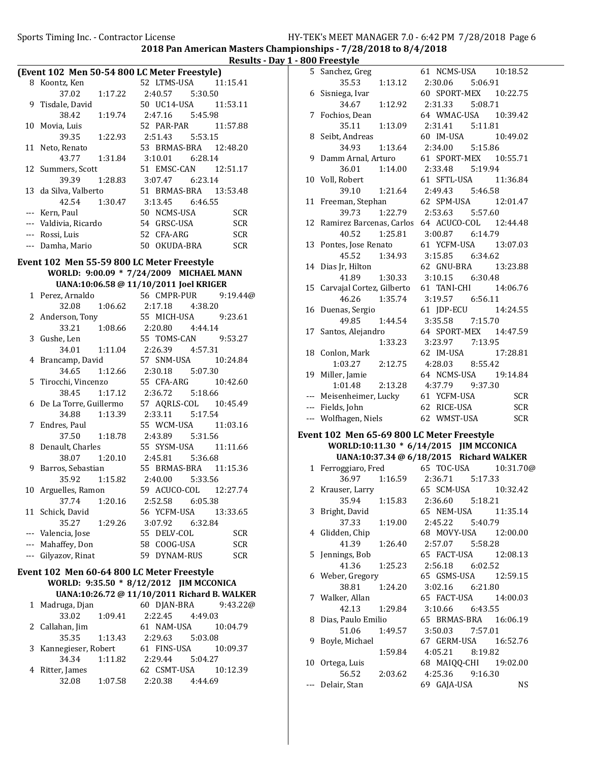|    |                       |                 |                                                                                                                                                        | Results - L |
|----|-----------------------|-----------------|--------------------------------------------------------------------------------------------------------------------------------------------------------|-------------|
|    |                       |                 | (Event 102 Men 50-54 800 LC Meter Freestyle)                                                                                                           |             |
|    | 8 Koontz, Ken         |                 | 52 LTMS-USA 11:15.41                                                                                                                                   |             |
|    |                       |                 | $37.02 \qquad 1:17.22 \qquad 2:40.57 \qquad 5:30.50$                                                                                                   |             |
|    | 9 Tisdale, David      |                 | 50 UC14-USA   11:53.11                                                                                                                                 |             |
|    |                       |                 | ale, David<br>38.42 1:19.74 2:47.16 5:45.98<br>a, Luis 52 PAR-PAR 1                                                                                    |             |
|    | 10 Movia, Luis        |                 | 52 PAR-PAR 11:57.88                                                                                                                                    |             |
|    |                       |                 | $39.35$ 1:22.93 2:51.43 5:53.15                                                                                                                        |             |
|    | 11 Neto, Renato       |                 | 53 BRMAS-BRA 12:48.20                                                                                                                                  |             |
|    | 43.77                 |                 |                                                                                                                                                        |             |
| 12 | Summers, Scott        |                 | 51 EMSC-CAN 12:51.17                                                                                                                                   |             |
|    | 39.39                 |                 | 1:28.83 3:07.47 6:23.14                                                                                                                                |             |
|    | 13 da Silva, Valberto |                 | 51 BRMAS-BRA 13:53.48<br>lva, Valberto 51 BRMAS-BRA 1<br>42.54 1:30.47 3:13.45 6:46.55<br>Paul 50 NCMS-USA                                             |             |
|    |                       |                 |                                                                                                                                                        |             |
|    | --- Kern, Paul        |                 | 50 NCMS-USA                                                                                                                                            | <b>SCR</b>  |
|    | --- Valdivia, Ricardo |                 | 54 GRSC-USA                                                                                                                                            | <b>SCR</b>  |
|    | --- Rossi, Luis       |                 | 52 CFA-ARG                                                                                                                                             | <b>SCR</b>  |
|    | --- Damha, Mario      |                 | 50 OKUDA-BRA                                                                                                                                           | <b>SCR</b>  |
|    |                       |                 |                                                                                                                                                        |             |
|    |                       |                 | Event 102 Men 55-59 800 LC Meter Freestyle                                                                                                             |             |
|    |                       |                 | WORLD: 9:00.09 * 7/24/2009 MICHAEL MANN                                                                                                                |             |
|    |                       |                 | UANA:10:06.58 @ 11/10/2011 Joel KRIGER                                                                                                                 |             |
|    | 1 Perez, Arnaldo      |                 | 56 CMPR-PUR                                                                                                                                            | 9:19.44@    |
|    | 32.08                 |                 | 1:06.62  2:17.18  4:38.20<br>55  MICH-USA  9:23.61                                                                                                     |             |
|    | 2 Anderson, Tony      |                 |                                                                                                                                                        |             |
|    |                       |                 | 33.21 1:08.66 2:20.80 4:44.14<br>e. Len 55 TOMS-CAN 9                                                                                                  |             |
|    | 3 Gushe, Len          |                 | 55 TOMS-CAN 9:53.27                                                                                                                                    |             |
|    | 34.01                 |                 | 1:11.04  2:26.39  4:57.31                                                                                                                              |             |
|    | 4 Brancamp, David     |                 | 57 SNM-USA   10:24.84                                                                                                                                  |             |
|    |                       |                 | 34.65   1:12.66   2:30.18   5:07.30                                                                                                                    |             |
|    |                       |                 | 5 Tirocchi, Vincenzo 55 CFA-ARG 10:42.60                                                                                                               |             |
|    |                       |                 | 38.45 1:17.12 2:36.72 5:18.66<br>6 De La Torre, Guillermo 57 AQRLS-COL 10:45.49<br>34.88 1:13.39 2:33.11 5:17.54<br>7 Endres, Paul 55 WCM-USA 11:03.16 |             |
|    |                       |                 |                                                                                                                                                        |             |
|    |                       |                 |                                                                                                                                                        |             |
|    | 7 Endres, Paul        |                 | 55 WCM-USA 11:03.16                                                                                                                                    |             |
|    | 37.50                 |                 | 1:18.78  2:43.89  5:31.56                                                                                                                              |             |
|    | 8 Denault, Charles    |                 | 55 SYSM-USA 11:11.66                                                                                                                                   |             |
|    | 38.07                 |                 | 1:20.10  2:45.81  5:36.68                                                                                                                              |             |
|    | 9 Barros, Sebastian   |                 |                                                                                                                                                        |             |
|    | 35.92                 |                 | astian 55 BRMAS-BRA 11:15.36<br>1:15.82 2:40.00 5:33.56                                                                                                |             |
|    |                       |                 | 10 Arguelles, Ramon 59 ACUCO-COL 12:27.74                                                                                                              |             |
|    | 37.74                 | 1:20.16         | 2:52.58 6:05.38                                                                                                                                        |             |
| 11 | Schick, David         |                 | 56 YCFM-USA                                                                                                                                            | 13:33.65    |
|    | 35.27                 | 1:29.26         | 3:07.92<br>6:32.84                                                                                                                                     |             |
|    | --- Valencia, Jose    |                 | 55 DELV-COL                                                                                                                                            | <b>SCR</b>  |
|    | --- Mahaffey, Don     |                 | 58 COOG-USA                                                                                                                                            | <b>SCR</b>  |
|    | --- Gilyazov, Rinat   |                 | 59 DYNAM-RUS                                                                                                                                           | SCR         |
|    |                       |                 | Event 102 Men 60-64 800 LC Meter Freestyle                                                                                                             |             |
|    |                       |                 | WORLD: 9:35.50 * 8/12/2012 JIM MCCONICA                                                                                                                |             |
|    |                       |                 | UANA:10:26.72 @ 11/10/2011 Richard B. WALKER                                                                                                           |             |
| 1  | Madruga, Djan         |                 | 60 DJAN-BRA                                                                                                                                            | 9:43.22@    |
|    | 33.02                 | 1:09.41         | 2:22.45<br>4:49.03                                                                                                                                     |             |
|    | 2 Callahan, Jim       |                 | 61 NAM-USA                                                                                                                                             | 10:04.79    |
|    | 35.35                 | 1:13.43 2:29.63 | 5:03.08                                                                                                                                                |             |
| 3  | Kannegieser, Robert   |                 | 61 FINS-USA                                                                                                                                            | 10:09.37    |
|    | 34.34                 | 1:11.82         | 2:29.44<br>5:04.27                                                                                                                                     |             |
| 4  | Ritter, James         |                 | 62 CSMT-USA                                                                                                                                            | 10:12.39    |
|    | 32.08                 | 1:07.58         | 2:20.38 4:44.69                                                                                                                                        |             |
|    |                       |                 |                                                                                                                                                        |             |

| Results - Day 1 - 800 Freestyle |                                            |                                     |         |                                                      |
|---------------------------------|--------------------------------------------|-------------------------------------|---------|------------------------------------------------------|
|                                 |                                            | 5 Sanchez, Greg                     |         | 61 NCMS-USA 10:18.52                                 |
| 15.41                           |                                            | 35.53                               |         | 1:13.12  2:30.06<br>5:06.91                          |
|                                 |                                            | 6 Sisniega, Ivar                    |         | 60 SPORT-MEX 10:22.75                                |
| 53.11                           |                                            | 34.67                               |         | 1:12.92 2:31.33<br>5:08.71                           |
|                                 |                                            | 7 Fochios, Dean                     |         | 64 WMAC-USA 10:39.42                                 |
| 57.88                           |                                            | 35.11                               |         | 1:13.09 2:31.41<br>5:11.81                           |
|                                 |                                            | 8 Seibt, Andreas                    |         | 60 IM-USA<br>10:49.02                                |
| 18.20                           |                                            | 34.93                               |         | 1:13.64 2:34.00<br>5:15.86                           |
|                                 |                                            | 9 Damm Arnal, Arturo                |         | 61 SPORT-MEX 10:55.71                                |
| 51.17                           |                                            |                                     |         | 36.01  1:14.00  2:33.48  5:19.94                     |
|                                 |                                            | 10 Voll, Robert                     |         | 61 SFTL-USA<br>11:36.84                              |
| 53.48                           |                                            | 39.10                               |         | 1:21.64 2:49.43 5:46.58                              |
|                                 |                                            |                                     |         | 11 Freeman, Stephan 62 SPM-USA<br>12:01.47           |
| <b>SCR</b>                      |                                            | 39.73                               |         | 1:22.79  2:53.63  5:57.60                            |
| <b>SCR</b>                      |                                            |                                     |         | 12 Ramirez Barcenas, Carlos 64 ACUCO-COL 12:44.48    |
| <b>SCR</b>                      |                                            | 40.52                               | 1:25.81 | 3:00.87<br>6:14.79                                   |
| <b>SCR</b>                      |                                            | 13 Pontes, Jose Renato              |         | 61 YCFM-USA 13:07.03                                 |
|                                 |                                            | 45.52                               | 1:34.93 | 3:15.85<br>6:34.62                                   |
| <b>NN</b>                       |                                            | 14 Dias Jr, Hilton                  |         | 62 GNU-BRA<br>13:23.88                               |
|                                 |                                            | 41.89                               |         | 1:30.33 3:10.15<br>6:30.48                           |
|                                 |                                            |                                     |         | 15 Carvajal Cortez, Gilberto 61 TANI-CHI<br>14:06.76 |
| 19.44@                          |                                            | 46.26                               |         | 1:35.74 3:19.57 6:56.11                              |
| 23.61                           |                                            | 16 Duenas, Sergio                   |         | 61 JDP-ECU<br>14:24.55                               |
|                                 |                                            | 49.85                               |         | 1:44.54 3:35.58<br>7:15.70                           |
| 53.27                           |                                            | 17 Santos, Alejandro                |         | 64 SPORT-MEX 14:47.59                                |
|                                 |                                            |                                     |         | 1:33.23   3:23.97   7:13.95                          |
| 24.84                           |                                            | 18 Conlon, Mark                     |         | 62 IM-USA<br>17:28.81                                |
|                                 |                                            |                                     |         | 1:03.27  2:12.75  4:28.03  8:55.42                   |
| 42.60                           |                                            | 19 Miller, Jamie                    |         | 64 NCMS-USA 19:14.84                                 |
|                                 |                                            |                                     |         | 1:01.48 2:13.28 4:37.79 9:37.30                      |
| 15.49                           |                                            | --- Meisenheimer, Lucky 61 YCFM-USA |         | SCR                                                  |
|                                 |                                            | --- Fields, John                    |         | 62 RICE-USA<br><b>SCR</b>                            |
| 03.16                           |                                            |                                     |         | --- Wolfhagen, Niels 62 WMST-USA<br><b>SCR</b>       |
|                                 | Event 102 Men 65-69 800 LC Meter Freestyle |                                     |         |                                                      |
|                                 |                                            |                                     |         |                                                      |

# WORLD:10:11.30 \* 6/14/2015 JIM MCCONICA

UANA:10:37.34 @ 6/18/2015 Richard WALKER

|    |                                          |               | UANA:10:37.34 @ 6/18/2015 RICHARD WALKER |                     |                       |
|----|------------------------------------------|---------------|------------------------------------------|---------------------|-----------------------|
|    | 1 Ferroggiaro, Fred 65 TOC-USA 10:31.70@ |               |                                          |                     |                       |
|    |                                          |               | 36.97 1:16.59 2:36.71 5:17.33            |                     |                       |
|    | 2 Krauser, Larry 65 SCM-USA 10:32.42     |               |                                          |                     |                       |
|    |                                          |               | 35.94 1:15.83 2:36.60 5:18.21            |                     |                       |
|    | 3 Bright, David                          |               |                                          |                     | 65 NEM-USA 11:35.14   |
|    |                                          |               | 37.33 1:19.00 2:45.22 5:40.79            |                     |                       |
|    | 4 Glidden, Chip                          |               |                                          |                     | 68 MOVY-USA 12:00.00  |
|    |                                          | 41.39 1:26.40 |                                          | 2:57.07 5:58.28     |                       |
|    | 5 Jennings, Bob                          |               |                                          |                     | 65 FACT-USA 12:08.13  |
|    |                                          |               | 41.36 1:25.23 2:56.18 6:02.52            |                     |                       |
|    | 6 Weber, Gregory                         |               |                                          |                     | 65 GSMS-USA 12:59.15  |
|    |                                          | 38.81 1:24.20 |                                          | 3:02.16 6:21.80     |                       |
|    | 7 Walker, Allan                          |               |                                          |                     | 65 FACT-USA 14:00.03  |
|    |                                          | 42.13 1:29.84 |                                          | 3:10.66 6:43.55     |                       |
|    | 8 Dias, Paulo Emilio                     |               |                                          |                     | 65 BRMAS-BRA 16:06.19 |
|    |                                          | 51.06 1:49.57 |                                          | $3:50.03$ $7:57.01$ |                       |
| 9  | Boyle, Michael                           |               |                                          |                     | 67 GERM-USA 16:52.76  |
|    |                                          | 1:59.84       |                                          | $4:05.21$ $8:19.82$ |                       |
| 10 | Ortega, Luis                             |               |                                          |                     | 68 MAIQQ-CHI 19:02.00 |
|    | 56.52                                    |               | 2:03.62 4:25.36 9:16.30                  |                     |                       |
|    | --- Delair, Stan                         |               | 69 GAJA-USA                              |                     | <b>NS</b>             |